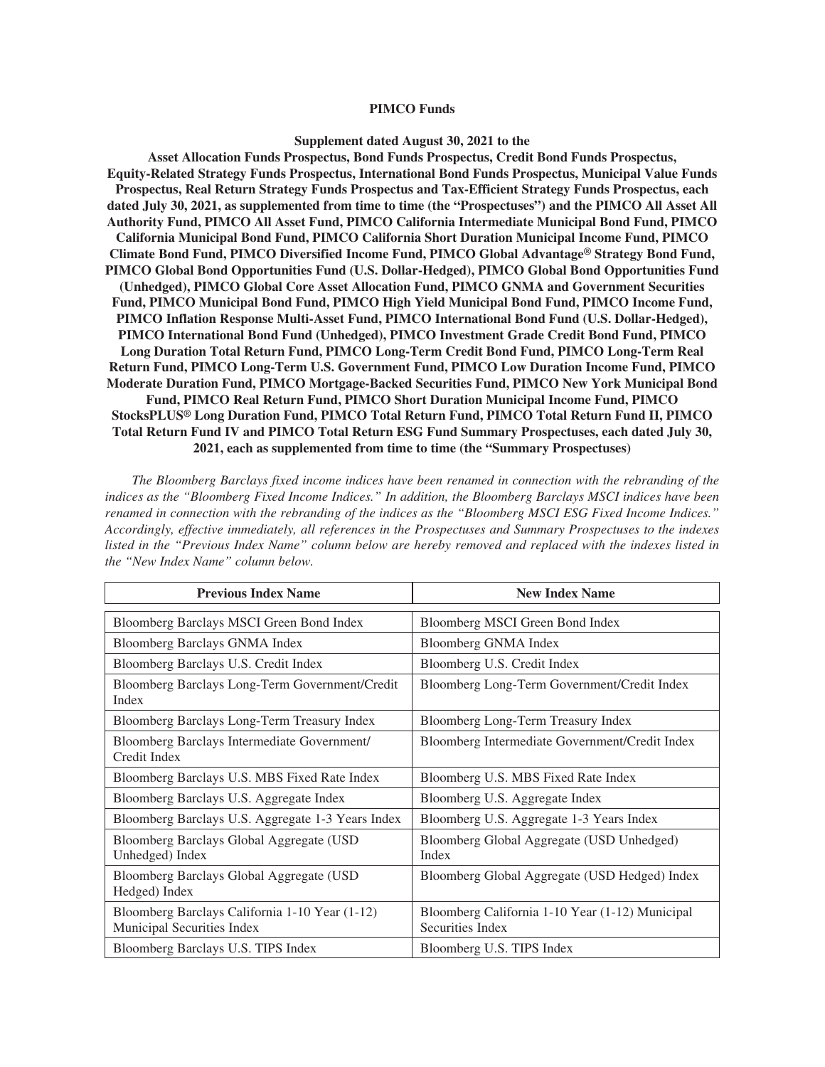#### **PIMCO Funds**

#### **Supplement dated August 30, 2021 to the**

**Asset Allocation Funds Prospectus, Bond Funds Prospectus, Credit Bond Funds Prospectus, Equity-Related Strategy Funds Prospectus, International Bond Funds Prospectus, Municipal Value Funds Prospectus, Real Return Strategy Funds Prospectus and Tax-Efficient Strategy Funds Prospectus, each dated July 30, 2021, as supplemented from time to time (the "Prospectuses") and the PIMCO All Asset All Authority Fund, PIMCO All Asset Fund, PIMCO California Intermediate Municipal Bond Fund, PIMCO California Municipal Bond Fund, PIMCO California Short Duration Municipal Income Fund, PIMCO Climate Bond Fund, PIMCO Diversified Income Fund, PIMCO Global Advantage ® Strategy Bond Fund, PIMCO Global Bond Opportunities Fund (U.S. Dollar-Hedged), PIMCO Global Bond Opportunities Fund (Unhedged), PIMCO Global Core Asset Allocation Fund, PIMCO GNMA and Government Securities Fund, PIMCO Municipal Bond Fund, PIMCO High Yield Municipal Bond Fund, PIMCO Income Fund, PIMCO Inflation Response Multi-Asset Fund, PIMCO International Bond Fund (U.S. Dollar-Hedged), PIMCO International Bond Fund (Unhedged), PIMCO Investment Grade Credit Bond Fund, PIMCO Long Duration Total Return Fund, PIMCO Long-Term Credit Bond Fund, PIMCO Long-Term Real Return Fund, PIMCO Long-Term U.S. Government Fund, PIMCO Low Duration Income Fund, PIMCO Moderate Duration Fund, PIMCO Mortgage-Backed Securities Fund, PIMCO New York Municipal Bond Fund, PIMCO Real Return Fund, PIMCO Short Duration Municipal Income Fund, PIMCO StocksPLUS ® Long Duration Fund, PIMCO Total Return Fund, PIMCO Total Return Fund II, PIMCO Total Return Fund IV and PIMCO Total Return ESG Fund Summary Prospectuses, each dated July 30, 2021, each as supplemented from time to time (the "Summary Prospectuses)**

*The Bloomberg Barclays fixed income indices have been renamed in connection with the rebranding of the indices as the "Bloomberg Fixed Income Indices." In addition, the Bloomberg Barclays MSCI indices have been renamed in connection with the rebranding of the indices as the "Bloomberg MSCI ESG Fixed Income Indices." Accordingly, effective immediately, all references in the Prospectuses and Summary Prospectuses to the indexes listed in the "Previous Index Name" column below are hereby removed and replaced with the indexes listed in the "New Index Name" column below.*

| <b>Previous Index Name</b>                                                   | <b>New Index Name</b>                                               |
|------------------------------------------------------------------------------|---------------------------------------------------------------------|
|                                                                              |                                                                     |
| Bloomberg Barclays MSCI Green Bond Index                                     | Bloomberg MSCI Green Bond Index                                     |
| Bloomberg Barclays GNMA Index                                                | <b>Bloomberg GNMA Index</b>                                         |
| Bloomberg Barclays U.S. Credit Index                                         | Bloomberg U.S. Credit Index                                         |
| Bloomberg Barclays Long-Term Government/Credit<br>Index                      | Bloomberg Long-Term Government/Credit Index                         |
| Bloomberg Barclays Long-Term Treasury Index                                  | Bloomberg Long-Term Treasury Index                                  |
| Bloomberg Barclays Intermediate Government/<br>Credit Index                  | Bloomberg Intermediate Government/Credit Index                      |
| Bloomberg Barclays U.S. MBS Fixed Rate Index                                 | Bloomberg U.S. MBS Fixed Rate Index                                 |
| Bloomberg Barclays U.S. Aggregate Index                                      | Bloomberg U.S. Aggregate Index                                      |
| Bloomberg Barclays U.S. Aggregate 1-3 Years Index                            | Bloomberg U.S. Aggregate 1-3 Years Index                            |
| Bloomberg Barclays Global Aggregate (USD<br>Unhedged) Index                  | Bloomberg Global Aggregate (USD Unhedged)<br>Index                  |
| Bloomberg Barclays Global Aggregate (USD)<br>Hedged) Index                   | Bloomberg Global Aggregate (USD Hedged) Index                       |
| Bloomberg Barclays California 1-10 Year (1-12)<br>Municipal Securities Index | Bloomberg California 1-10 Year (1-12) Municipal<br>Securities Index |
| Bloomberg Barclays U.S. TIPS Index                                           | Bloomberg U.S. TIPS Index                                           |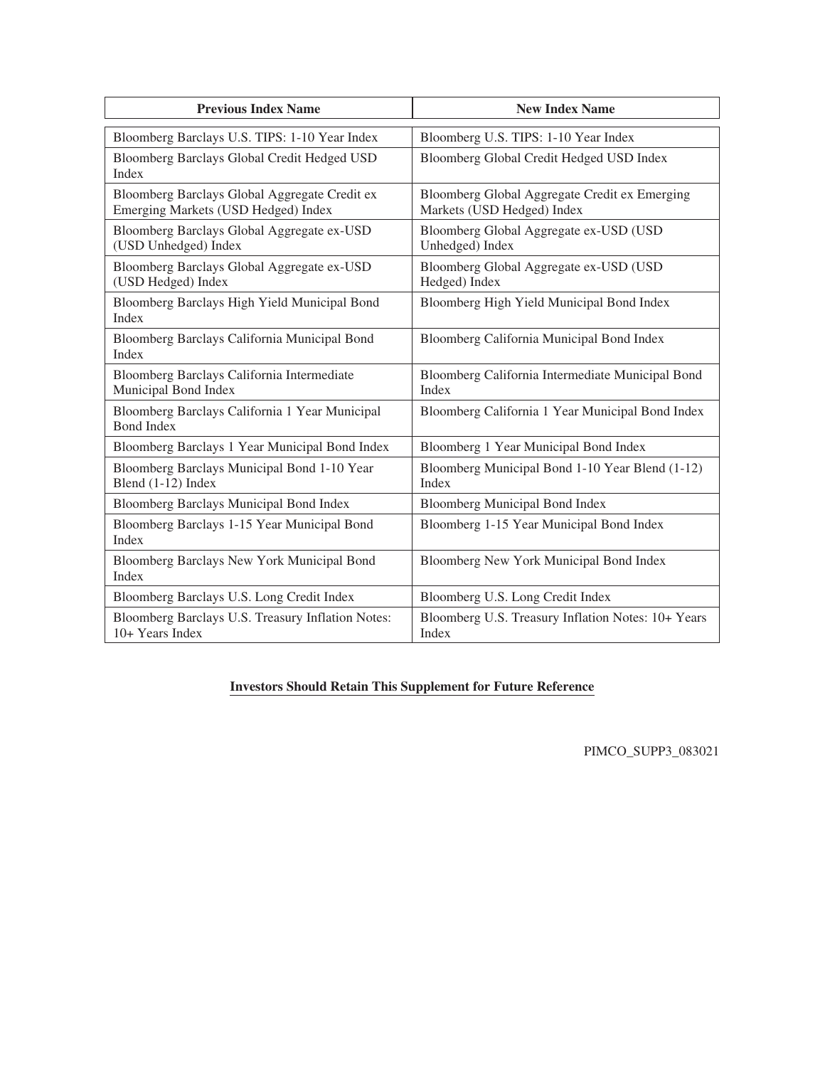| <b>Previous Index Name</b>                                                           | <b>New Index Name</b>                                                       |
|--------------------------------------------------------------------------------------|-----------------------------------------------------------------------------|
| Bloomberg Barclays U.S. TIPS: 1-10 Year Index                                        | Bloomberg U.S. TIPS: 1-10 Year Index                                        |
| Bloomberg Barclays Global Credit Hedged USD<br>Index                                 | Bloomberg Global Credit Hedged USD Index                                    |
| Bloomberg Barclays Global Aggregate Credit ex<br>Emerging Markets (USD Hedged) Index | Bloomberg Global Aggregate Credit ex Emerging<br>Markets (USD Hedged) Index |
| Bloomberg Barclays Global Aggregate ex-USD<br>(USD Unhedged) Index                   | Bloomberg Global Aggregate ex-USD (USD<br>Unhedged) Index                   |
| Bloomberg Barclays Global Aggregate ex-USD<br>(USD Hedged) Index                     | Bloomberg Global Aggregate ex-USD (USD<br>Hedged) Index                     |
| Bloomberg Barclays High Yield Municipal Bond<br>Index                                | Bloomberg High Yield Municipal Bond Index                                   |
| Bloomberg Barclays California Municipal Bond<br>Index                                | Bloomberg California Municipal Bond Index                                   |
| Bloomberg Barclays California Intermediate<br>Municipal Bond Index                   | Bloomberg California Intermediate Municipal Bond<br>Index                   |
| Bloomberg Barclays California 1 Year Municipal<br><b>Bond Index</b>                  | Bloomberg California 1 Year Municipal Bond Index                            |
| Bloomberg Barclays 1 Year Municipal Bond Index                                       | Bloomberg 1 Year Municipal Bond Index                                       |
| Bloomberg Barclays Municipal Bond 1-10 Year<br>Blend (1-12) Index                    | Bloomberg Municipal Bond 1-10 Year Blend (1-12)<br>Index                    |
| <b>Bloomberg Barclays Municipal Bond Index</b>                                       | <b>Bloomberg Municipal Bond Index</b>                                       |
| Bloomberg Barclays 1-15 Year Municipal Bond<br>Index                                 | Bloomberg 1-15 Year Municipal Bond Index                                    |
| Bloomberg Barclays New York Municipal Bond<br>Index                                  | Bloomberg New York Municipal Bond Index                                     |
| Bloomberg Barclays U.S. Long Credit Index                                            | Bloomberg U.S. Long Credit Index                                            |
| Bloomberg Barclays U.S. Treasury Inflation Notes:<br>10+ Years Index                 | Bloomberg U.S. Treasury Inflation Notes: 10+ Years<br>Index                 |

## **Investors Should Retain This Supplement for Future Reference**

PIMCO\_SUPP3\_083021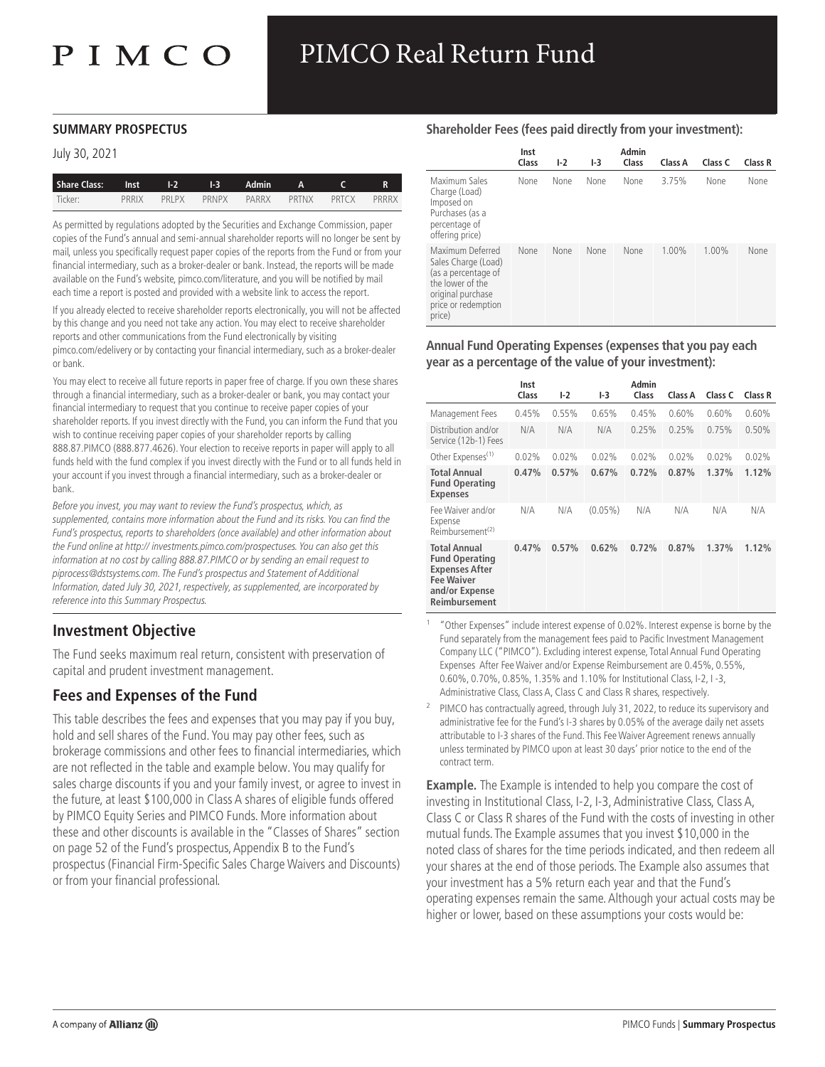# PIMCO Real Return Fund

#### **SUMMARY PROSPECTUS**

#### July 30, 2021

| <b>Share Class:</b> | <b>Inst</b> | $1-2$ and $2$ | $1-3$ | Admin A C |       |       | R     |
|---------------------|-------------|---------------|-------|-----------|-------|-------|-------|
| Ticker:             | PRRIX       | PRI PX        | PRNPX | PARRX     | PRTNX | PRTCX | PRRRX |

As permitted by regulations adopted by the Securities and Exchange Commission, paper copies of the Fund's annual and semi-annual shareholder reports will no longer be sent by mail, unless you specifically request paper copies of the reports from the Fund or from your financial intermediary, such as a broker-dealer or bank. Instead, the reports will be made available on the Fund's website, pimco.com/literature, and you will be notified by mail each time a report is posted and provided with a website link to access the report.

If you already elected to receive shareholder reports electronically, you will not be affected by this change and you need not take any action. You may elect to receive shareholder reports and other communications from the Fund electronically by visiting pimco.com/edelivery or by contacting your financial intermediary, such as a broker-dealer or bank.

You may elect to receive all future reports in paper free of charge. If you own these shares through a financial intermediary, such as a broker-dealer or bank, you may contact your financial intermediary to request that you continue to receive paper copies of your shareholder reports. If you invest directly with the Fund, you can inform the Fund that you wish to continue receiving paper copies of your shareholder reports by calling 888.87.PIMCO (888.877.4626). Your election to receive reports in paper will apply to all funds held with the fund complex if you invest directly with the Fund or to all funds held in your account if you invest through a financial intermediary, such as a broker-dealer or bank.

Before you invest, you may want to review the Fund's prospectus, which, as supplemented, contains more information about the Fund and its risks. You can find the Fund's prospectus, reports to shareholders (once available) and other information about the Fund online at http:// investments.pimco.com/prospectuses. You can also get this information at no cost by calling 888.87.PIMCO or by sending an email request to piprocess@dstsystems.com. The Fund's prospectus and Statement of Additional Information, dated July 30, 2021, respectively, as supplemented, are incorporated by reference into this Summary Prospectus.

## **Investment Objective**

The Fund seeks maximum real return, consistent with preservation of capital and prudent investment management.

# **Fees and Expenses of the Fund**

This table describes the fees and expenses that you may pay if you buy, hold and sell shares of the Fund. You may pay other fees, such as brokerage commissions and other fees to financial intermediaries, which are not reflected in the table and example below. You may qualify for sales charge discounts if you and your family invest, or agree to invest in the future, at least \$100,000 in Class A shares of eligible funds offered by PIMCO Equity Series and PIMCO Funds. More information about these and other discounts is available in the "Classes of Shares" section on page 52 of the Fund's prospectus, Appendix B to the Fund's prospectus (Financial Firm-Specific Sales Charge Waivers and Discounts) or from your financial professional.

#### **Shareholder Fees (fees paid directly from your investment):**

|                                                                                                                                          | Inst<br>Class | $1-2$ | $1-3$       | Admin<br>Class | Class A  | Class C  | Class R |
|------------------------------------------------------------------------------------------------------------------------------------------|---------------|-------|-------------|----------------|----------|----------|---------|
| Maximum Sales<br>Charge (Load)<br>Imposed on<br>Purchases (as a<br>percentage of<br>offering price)                                      | None          | None  | <b>None</b> | None           | 3.75%    | None     | None    |
| Maximum Deferred<br>Sales Charge (Load)<br>(as a percentage of<br>the lower of the<br>original purchase<br>price or redemption<br>price) | None          | None  | None        | None           | $1.00\%$ | $1.00\%$ | None    |

**Annual Fund Operating Expenses (expenses that you pay each year as a percentage of the value of your investment):**

|                                                                                                                        | Inst<br>Class | I-2   | 1-3        | Admin<br>Class | Class A | Class C | Class R |
|------------------------------------------------------------------------------------------------------------------------|---------------|-------|------------|----------------|---------|---------|---------|
| Management Fees                                                                                                        | 0.45%         | 0.55% | 0.65%      | 0.45%          | 0.60%   | 0.60%   | 0.60%   |
| Distribution and/or<br>Service (12b-1) Fees                                                                            | N/A           | N/A   | N/A        | 0.25%          | 0.25%   | 0.75%   | 0.50%   |
| Other Expenses <sup>(1)</sup>                                                                                          | 0.02%         | 0.02% | 0.02%      | 0.02%          | 0.02%   | 0.02%   | 0.02%   |
| Total Annual<br><b>Fund Operating</b><br><b>Expenses</b>                                                               | 0.47%         | 0.57% | 0.67%      | 0.72%          | 0.87%   | 1.37%   | 1.12%   |
| Fee Waiver and/or<br>Expense<br>Reimbursement <sup>(2)</sup>                                                           | N/A           | N/A   | $(0.05\%)$ | N/A            | N/A     | N/A     | N/A     |
| Total Annual<br><b>Fund Operating</b><br><b>Expenses After</b><br><b>Fee Waiver</b><br>and/or Expense<br>Reimbursement | 0.47%         | 0.57% | 0.62%      | 0.72%          | 0.87%   | 1.37%   | 1.12%   |

1 "Other Expenses" include interest expense of 0.02%. Interest expense is borne by the Fund separately from the management fees paid to Pacific Investment Management Company LLC ("PIMCO"). Excluding interest expense, Total Annual Fund Operating Expenses After Fee Waiver and/or Expense Reimbursement are 0.45%, 0.55%, 0.60%, 0.70%, 0.85%, 1.35% and 1.10% for Institutional Class, I-2, I -3, Administrative Class, Class A, Class C and Class R shares, respectively.

2 PIMCO has contractually agreed, through July 31, 2022, to reduce its supervisory and administrative fee for the Fund's I-3 shares by 0.05% of the average daily net assets attributable to I-3 shares of the Fund. This Fee Waiver Agreement renews annually unless terminated by PIMCO upon at least 30 days' prior notice to the end of the contract term.

**Example.** The Example is intended to help you compare the cost of investing in Institutional Class, I-2, I-3, Administrative Class, Class A, Class C or Class R shares of the Fund with the costs of investing in other mutual funds. The Example assumes that you invest \$10,000 in the noted class of shares for the time periods indicated, and then redeem all your shares at the end of those periods. The Example also assumes that your investment has a 5% return each year and that the Fund's operating expenses remain the same. Although your actual costs may be higher or lower, based on these assumptions your costs would be: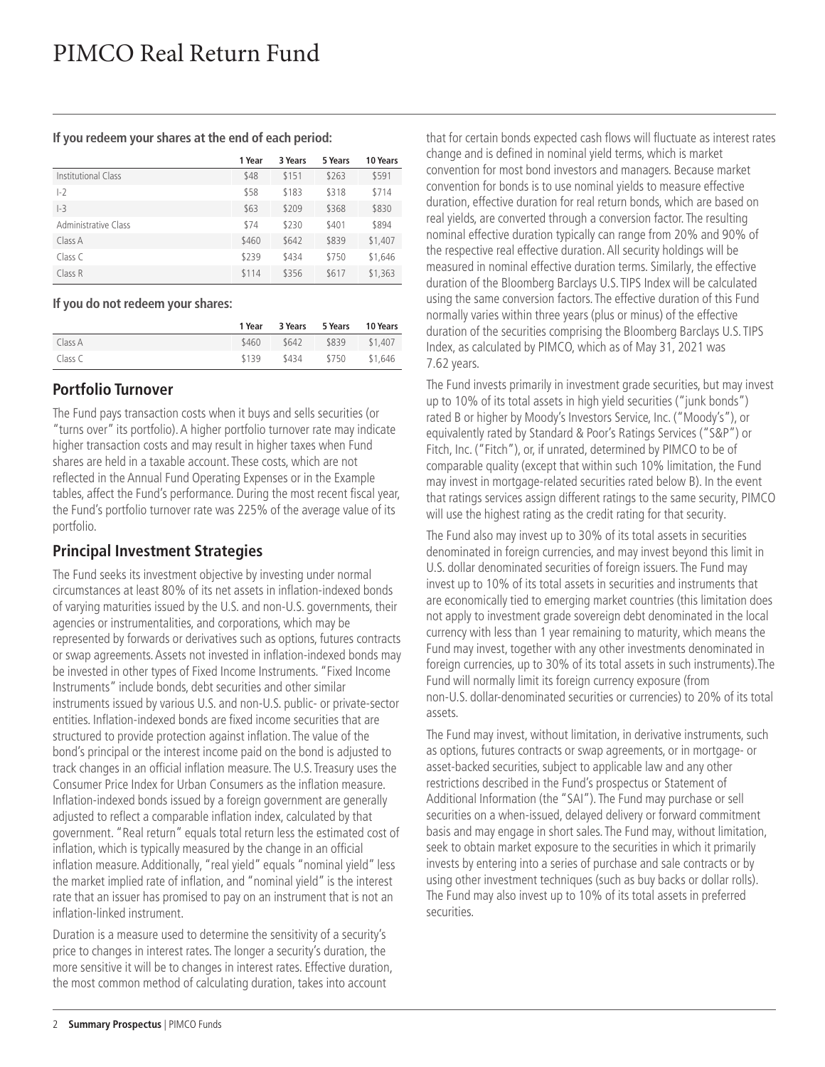**If you redeem your shares at the end of each period:**

|                      | 1 Year | 3 Years | 5 Years | 10 Years |
|----------------------|--------|---------|---------|----------|
| Institutional Class  | \$48   | \$151   | \$263   | \$591    |
| $-2$                 | \$58   | \$183   | \$318   | \$714    |
| $-3$                 | \$63   | \$209   | \$368   | \$830    |
| Administrative Class | \$74   | \$230   | \$401   | \$894    |
| Class A              | \$460  | \$642   | \$839   | \$1,407  |
| Class C              | \$239  | \$434   | \$750   | \$1,646  |
| Class R              | \$114  | \$356   | \$617   | \$1,363  |

#### **If you do not redeem your shares:**

|         | 1 Year | 3 Years | 5 Years | 10 Years |
|---------|--------|---------|---------|----------|
| Class A | \$460  | \$642   | \$839   | \$1,407  |
| Class C | \$139  | \$434   | \$750   | \$1,646  |

## **Portfolio Turnover**

The Fund pays transaction costs when it buys and sells securities (or "turns over" its portfolio). A higher portfolio turnover rate may indicate higher transaction costs and may result in higher taxes when Fund shares are held in a taxable account. These costs, which are not reflected in the Annual Fund Operating Expenses or in the Example tables, affect the Fund's performance. During the most recent fiscal year, the Fund's portfolio turnover rate was 225% of the average value of its portfolio.

# **Principal Investment Strategies**

The Fund seeks its investment objective by investing under normal circumstances at least 80% of its net assets in inflation-indexed bonds of varying maturities issued by the U.S. and non-U.S. governments, their agencies or instrumentalities, and corporations, which may be represented by forwards or derivatives such as options, futures contracts or swap agreements. Assets not invested in inflation-indexed bonds may be invested in other types of Fixed Income Instruments. "Fixed Income Instruments" include bonds, debt securities and other similar instruments issued by various U.S. and non-U.S. public- or private-sector entities. Inflation-indexed bonds are fixed income securities that are structured to provide protection against inflation. The value of the bond's principal or the interest income paid on the bond is adjusted to track changes in an official inflation measure. The U.S. Treasury uses the Consumer Price Index for Urban Consumers as the inflation measure. Inflation-indexed bonds issued by a foreign government are generally adjusted to reflect a comparable inflation index, calculated by that government. "Real return" equals total return less the estimated cost of inflation, which is typically measured by the change in an official inflation measure. Additionally, "real yield" equals "nominal yield" less the market implied rate of inflation, and "nominal yield" is the interest rate that an issuer has promised to pay on an instrument that is not an inflation-linked instrument.

Duration is a measure used to determine the sensitivity of a security's price to changes in interest rates. The longer a security's duration, the more sensitive it will be to changes in interest rates. Effective duration, the most common method of calculating duration, takes into account

that for certain bonds expected cash flows will fluctuate as interest rates change and is defined in nominal yield terms, which is market convention for most bond investors and managers. Because market convention for bonds is to use nominal yields to measure effective duration, effective duration for real return bonds, which are based on real yields, are converted through a conversion factor. The resulting nominal effective duration typically can range from 20% and 90% of the respective real effective duration. All security holdings will be measured in nominal effective duration terms. Similarly, the effective duration of the Bloomberg Barclays U.S. TIPS Index will be calculated using the same conversion factors. The effective duration of this Fund normally varies within three years (plus or minus) of the effective duration of the securities comprising the Bloomberg Barclays U.S. TIPS Index, as calculated by PIMCO, which as of May 31, 2021 was 7.62 years.

The Fund invests primarily in investment grade securities, but may invest up to 10% of its total assets in high yield securities ("junk bonds") rated B or higher by Moody's Investors Service, Inc. ("Moody's"), or equivalently rated by Standard & Poor's Ratings Services ("S&P") or Fitch, Inc. ("Fitch"), or, if unrated, determined by PIMCO to be of comparable quality (except that within such 10% limitation, the Fund may invest in mortgage-related securities rated below B). In the event that ratings services assign different ratings to the same security, PIMCO will use the highest rating as the credit rating for that security.

The Fund also may invest up to 30% of its total assets in securities denominated in foreign currencies, and may invest beyond this limit in U.S. dollar denominated securities of foreign issuers. The Fund may invest up to 10% of its total assets in securities and instruments that are economically tied to emerging market countries (this limitation does not apply to investment grade sovereign debt denominated in the local currency with less than 1 year remaining to maturity, which means the Fund may invest, together with any other investments denominated in foreign currencies, up to 30% of its total assets in such instruments).The Fund will normally limit its foreign currency exposure (from non-U.S. dollar-denominated securities or currencies) to 20% of its total assets.

The Fund may invest, without limitation, in derivative instruments, such as options, futures contracts or swap agreements, or in mortgage- or asset-backed securities, subject to applicable law and any other restrictions described in the Fund's prospectus or Statement of Additional Information (the "SAI"). The Fund may purchase or sell securities on a when-issued, delayed delivery or forward commitment basis and may engage in short sales. The Fund may, without limitation, seek to obtain market exposure to the securities in which it primarily invests by entering into a series of purchase and sale contracts or by using other investment techniques (such as buy backs or dollar rolls). The Fund may also invest up to 10% of its total assets in preferred securities.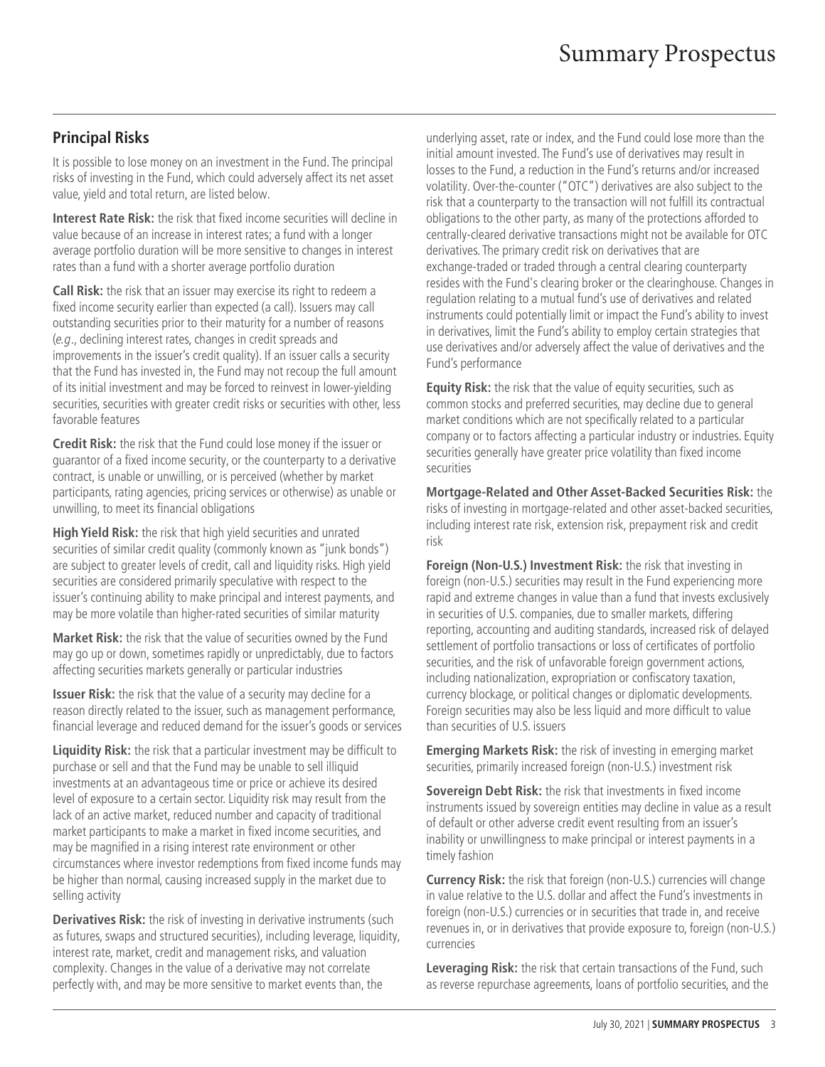# **Principal Risks**

It is possible to lose money on an investment in the Fund. The principal risks of investing in the Fund, which could adversely affect its net asset value, yield and total return, are listed below.

**Interest Rate Risk:** the risk that fixed income securities will decline in value because of an increase in interest rates; a fund with a longer average portfolio duration will be more sensitive to changes in interest rates than a fund with a shorter average portfolio duration

**Call Risk:** the risk that an issuer may exercise its right to redeem a fixed income security earlier than expected (a call). Issuers may call outstanding securities prior to their maturity for a number of reasons (e.g., declining interest rates, changes in credit spreads and improvements in the issuer's credit quality). If an issuer calls a security that the Fund has invested in, the Fund may not recoup the full amount of its initial investment and may be forced to reinvest in lower-yielding securities, securities with greater credit risks or securities with other, less favorable features

**Credit Risk:** the risk that the Fund could lose money if the issuer or guarantor of a fixed income security, or the counterparty to a derivative contract, is unable or unwilling, or is perceived (whether by market participants, rating agencies, pricing services or otherwise) as unable or unwilling, to meet its financial obligations

**High Yield Risk:** the risk that high yield securities and unrated securities of similar credit quality (commonly known as "junk bonds") are subject to greater levels of credit, call and liquidity risks. High yield securities are considered primarily speculative with respect to the issuer's continuing ability to make principal and interest payments, and may be more volatile than higher-rated securities of similar maturity

**Market Risk:** the risk that the value of securities owned by the Fund may go up or down, sometimes rapidly or unpredictably, due to factors affecting securities markets generally or particular industries

**Issuer Risk:** the risk that the value of a security may decline for a reason directly related to the issuer, such as management performance, financial leverage and reduced demand for the issuer's goods or services

**Liquidity Risk:** the risk that a particular investment may be difficult to purchase or sell and that the Fund may be unable to sell illiquid investments at an advantageous time or price or achieve its desired level of exposure to a certain sector. Liquidity risk may result from the lack of an active market, reduced number and capacity of traditional market participants to make a market in fixed income securities, and may be magnified in a rising interest rate environment or other circumstances where investor redemptions from fixed income funds may be higher than normal, causing increased supply in the market due to selling activity

**Derivatives Risk:** the risk of investing in derivative instruments (such as futures, swaps and structured securities), including leverage, liquidity, interest rate, market, credit and management risks, and valuation complexity. Changes in the value of a derivative may not correlate perfectly with, and may be more sensitive to market events than, the

underlying asset, rate or index, and the Fund could lose more than the initial amount invested. The Fund's use of derivatives may result in losses to the Fund, a reduction in the Fund's returns and/or increased volatility. Over-the-counter ("OTC") derivatives are also subject to the risk that a counterparty to the transaction will not fulfill its contractual obligations to the other party, as many of the protections afforded to centrally-cleared derivative transactions might not be available for OTC derivatives. The primary credit risk on derivatives that are exchange-traded or traded through a central clearing counterparty resides with the Fund's clearing broker or the clearinghouse. Changes in regulation relating to a mutual fund's use of derivatives and related instruments could potentially limit or impact the Fund's ability to invest in derivatives, limit the Fund's ability to employ certain strategies that use derivatives and/or adversely affect the value of derivatives and the Fund's performance

**Equity Risk:** the risk that the value of equity securities, such as common stocks and preferred securities, may decline due to general market conditions which are not specifically related to a particular company or to factors affecting a particular industry or industries. Equity securities generally have greater price volatility than fixed income securities

**Mortgage-Related and Other Asset-Backed Securities Risk:** the risks of investing in mortgage-related and other asset-backed securities, including interest rate risk, extension risk, prepayment risk and credit risk

**Foreign (Non-U.S.) Investment Risk:** the risk that investing in foreign (non-U.S.) securities may result in the Fund experiencing more rapid and extreme changes in value than a fund that invests exclusively in securities of U.S. companies, due to smaller markets, differing reporting, accounting and auditing standards, increased risk of delayed settlement of portfolio transactions or loss of certificates of portfolio securities, and the risk of unfavorable foreign government actions, including nationalization, expropriation or confiscatory taxation, currency blockage, or political changes or diplomatic developments. Foreign securities may also be less liquid and more difficult to value than securities of U.S. issuers

**Emerging Markets Risk:** the risk of investing in emerging market securities, primarily increased foreign (non-U.S.) investment risk

**Sovereign Debt Risk:** the risk that investments in fixed income instruments issued by sovereign entities may decline in value as a result of default or other adverse credit event resulting from an issuer's inability or unwillingness to make principal or interest payments in a timely fashion

**Currency Risk:** the risk that foreign (non-U.S.) currencies will change in value relative to the U.S. dollar and affect the Fund's investments in foreign (non-U.S.) currencies or in securities that trade in, and receive revenues in, or in derivatives that provide exposure to, foreign (non-U.S.) currencies

**Leveraging Risk:** the risk that certain transactions of the Fund, such as reverse repurchase agreements, loans of portfolio securities, and the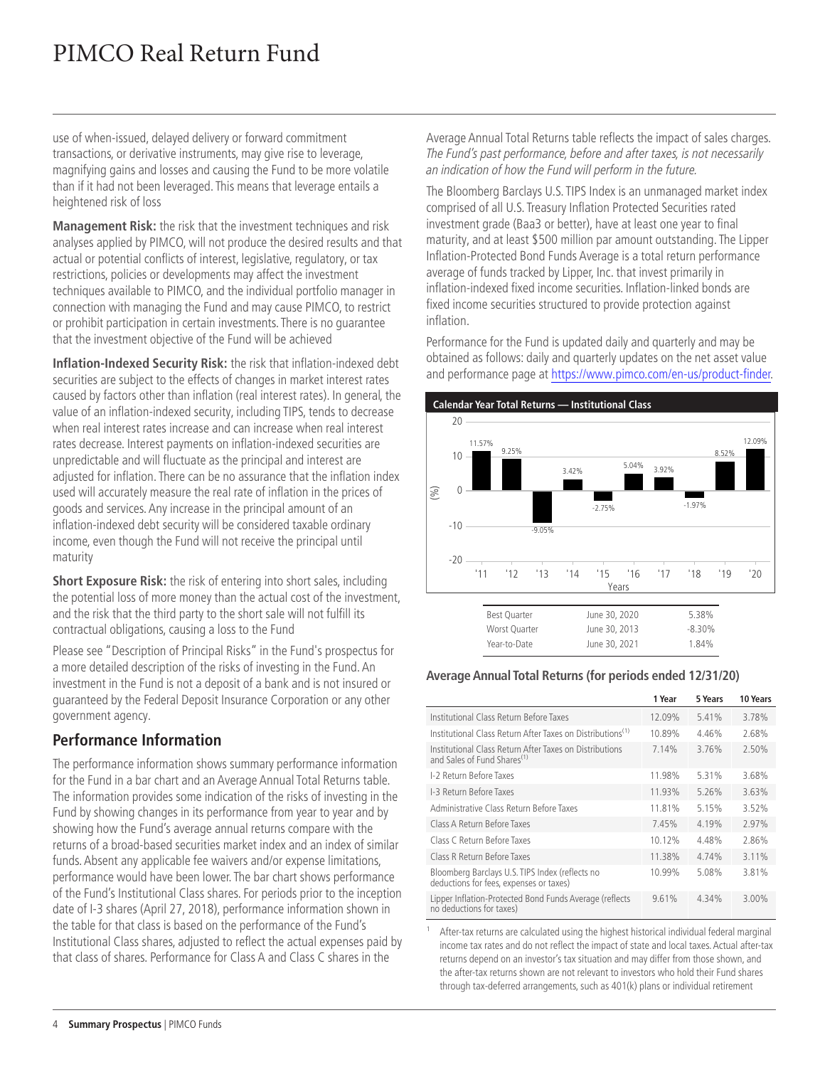# PIMCO Real Return Fund

use of when-issued, delayed delivery or forward commitment transactions, or derivative instruments, may give rise to leverage, magnifying gains and losses and causing the Fund to be more volatile than if it had not been leveraged. This means that leverage entails a heightened risk of loss

**Management Risk:** the risk that the investment techniques and risk analyses applied by PIMCO, will not produce the desired results and that actual or potential conflicts of interest, legislative, regulatory, or tax restrictions, policies or developments may affect the investment techniques available to PIMCO, and the individual portfolio manager in connection with managing the Fund and may cause PIMCO, to restrict or prohibit participation in certain investments. There is no guarantee that the investment objective of the Fund will be achieved

**Inflation-Indexed Security Risk:** the risk that inflation-indexed debt securities are subject to the effects of changes in market interest rates caused by factors other than inflation (real interest rates). In general, the value of an inflation-indexed security, including TIPS, tends to decrease when real interest rates increase and can increase when real interest rates decrease. Interest payments on inflation-indexed securities are unpredictable and will fluctuate as the principal and interest are adjusted for inflation. There can be no assurance that the inflation index used will accurately measure the real rate of inflation in the prices of goods and services. Any increase in the principal amount of an inflation-indexed debt security will be considered taxable ordinary income, even though the Fund will not receive the principal until maturity

**Short Exposure Risk:** the risk of entering into short sales, including the potential loss of more money than the actual cost of the investment, and the risk that the third party to the short sale will not fulfill its contractual obligations, causing a loss to the Fund

Please see "Description of Principal Risks" in the Fund's prospectus for a more detailed description of the risks of investing in the Fund. An investment in the Fund is not a deposit of a bank and is not insured or guaranteed by the Federal Deposit Insurance Corporation or any other government agency.

# **Performance Information**

The performance information shows summary performance information for the Fund in a bar chart and an Average Annual Total Returns table. The information provides some indication of the risks of investing in the Fund by showing changes in its performance from year to year and by showing how the Fund's average annual returns compare with the returns of a broad-based securities market index and an index of similar funds. Absent any applicable fee waivers and/or expense limitations, performance would have been lower. The bar chart shows performance of the Fund's Institutional Class shares. For periods prior to the inception date of I-3 shares (April 27, 2018), performance information shown in the table for that class is based on the performance of the Fund's Institutional Class shares, adjusted to reflect the actual expenses paid by that class of shares. Performance for Class A and Class C shares in the

Average Annual Total Returns table reflects the impact of sales charges. The Fund's past performance, before and after taxes, is not necessarily an indication of how the Fund will perform in the future.

The Bloomberg Barclays U.S. TIPS Index is an unmanaged market index comprised of all U.S. Treasury Inflation Protected Securities rated investment grade (Baa3 or better), have at least one year to final maturity, and at least \$500 million par amount outstanding. The Lipper Inflation-Protected Bond Funds Average is a total return performance average of funds tracked by Lipper, Inc. that invest primarily in inflation-indexed fixed income securities. Inflation-linked bonds are fixed income securities structured to provide protection against inflation.

Performance for the Fund is updated daily and quarterly and may be obtained as follows: daily and quarterly updates on the net asset value and performance page at [https://www.pimco.com/en-us/product-finder.](https://www.pimco.com/en-us/product-finder)



| <b>Best Ouarter</b> | June 30, 2020 | 5.38%     |
|---------------------|---------------|-----------|
| Worst Ouarter       | June 30, 2013 | $-8.30\%$ |
| Year-to-Date        | June 30, 2021 | 1.84%     |

#### **Average Annual Total Returns (for periods ended 12/31/20)**

|                                                                                                    | 1 Year | 5 Years | 10 Years |
|----------------------------------------------------------------------------------------------------|--------|---------|----------|
| Institutional Class Return Before Taxes                                                            | 12.09% | 5.41%   | 3.78%    |
| Institutional Class Return After Taxes on Distributions <sup>(1)</sup>                             | 10.89% | 4.46%   | 2.68%    |
| Institutional Class Return After Taxes on Distributions<br>and Sales of Fund Shares <sup>(1)</sup> | 7.14%  | 3.76%   | 2.50%    |
| 1-2 Return Before Taxes                                                                            | 11.98% | 5.31%   | 3.68%    |
| I-3 Return Before Taxes                                                                            | 11.93% | 5.26%   | 3.63%    |
| Administrative Class Return Before Taxes                                                           | 11.81% | 5.15%   | 3.52%    |
| Class A Return Before Taxes                                                                        | 7.45%  | 4.19%   | 2.97%    |
| Class C Return Before Taxes                                                                        | 10.12% | 4 4 8%  | 2.86%    |
| Class R Return Before Taxes                                                                        | 11.38% | 4.74%   | 3.11%    |
| Bloomberg Barclays U.S. TIPS Index (reflects no<br>deductions for fees, expenses or taxes)         | 10.99% | 5.08%   | 3.81%    |
| Lipper Inflation-Protected Bond Funds Average (reflects<br>no deductions for taxes)                | 9.61%  | 4.34%   | $3.00\%$ |

1 After-tax returns are calculated using the highest historical individual federal marginal income tax rates and do not reflect the impact of state and local taxes. Actual after-tax returns depend on an investor's tax situation and may differ from those shown, and the after-tax returns shown are not relevant to investors who hold their Fund shares through tax-deferred arrangements, such as 401(k) plans or individual retirement